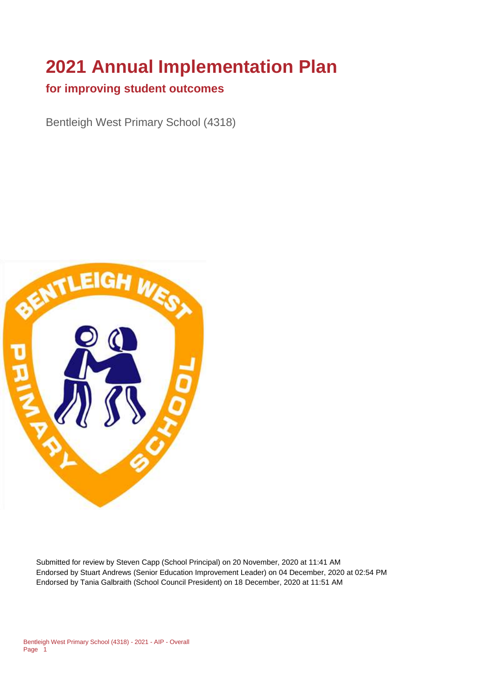# **2021 Annual Implementation Plan**

#### **for improving student outcomes**

Bentleigh West Primary School (4318)



Submitted for review by Steven Capp (School Principal) on 20 November, 2020 at 11:41 AM Endorsed by Stuart Andrews (Senior Education Improvement Leader) on 04 December, 2020 at 02:54 PM Endorsed by Tania Galbraith (School Council President) on 18 December, 2020 at 11:51 AM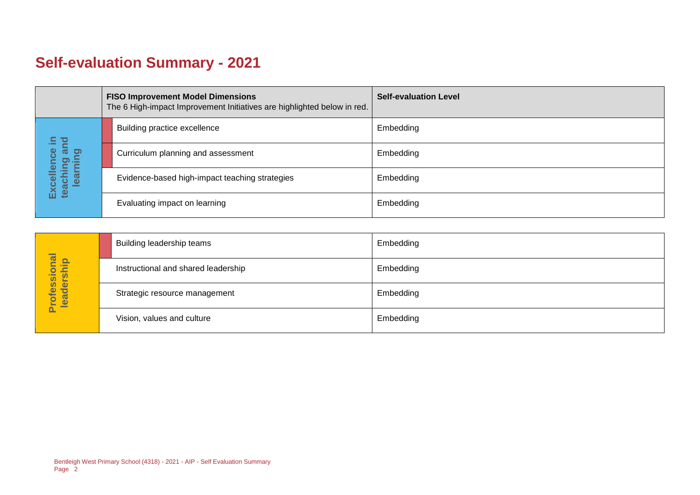## **Self-evaluation Summary - 2021**

|  |                             | <b>FISO Improvement Model Dimensions</b><br>The 6 High-impact Improvement Initiatives are highlighted below in red. | <b>Self-evaluation Level</b> |
|--|-----------------------------|---------------------------------------------------------------------------------------------------------------------|------------------------------|
|  | 르.<br><b>D</b>              | Building practice excellence                                                                                        | Embedding                    |
|  | ౚఀ<br>aching ar<br>learning | Curriculum planning and assessment                                                                                  | Embedding                    |
|  | Excellence<br>teaching ar   | Evidence-based high-impact teaching strategies                                                                      | Embedding                    |
|  |                             | Evaluating impact on learning                                                                                       | Embedding                    |

|                            | Building leadership teams           | Embedding |
|----------------------------|-------------------------------------|-----------|
|                            | Instructional and shared leadership | Embedding |
| Professional<br>leadership | Strategic resource management       | Embedding |
|                            | Vision, values and culture          | Embedding |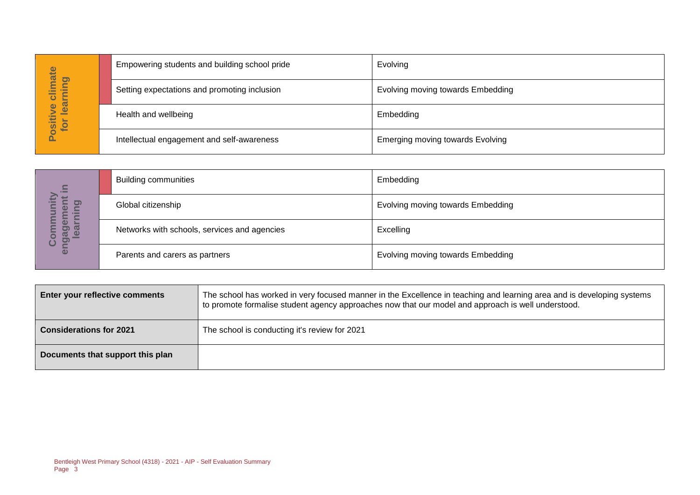| hate                              | Empowering students and building school pride | Evolving                          |
|-----------------------------------|-----------------------------------------------|-----------------------------------|
| pui<br>드<br>-<br>⊨<br>ပ           | Setting expectations and promoting inclusion  | Evolving moving towards Embedding |
| lear<br>ဖ<br><b>Ositiv</b><br>tor | Health and wellbeing                          | Embedding                         |
| $\mathbf{a}$                      | Intellectual engagement and self-awareness    | Emerging moving towards Evolving  |

|                                  |                                                                             | Empowering students and building school pride                                                                                                                                                                                | ⊏v∪ivirig                               |
|----------------------------------|-----------------------------------------------------------------------------|------------------------------------------------------------------------------------------------------------------------------------------------------------------------------------------------------------------------------|-----------------------------------------|
|                                  |                                                                             | Setting expectations and promoting inclusion                                                                                                                                                                                 | Evolving moving towards Embedding       |
| Positive climate<br>for learning | Health and wellbeing                                                        |                                                                                                                                                                                                                              | Embedding                               |
|                                  |                                                                             | Intellectual engagement and self-awareness                                                                                                                                                                                   | <b>Emerging moving towards Evolving</b> |
|                                  |                                                                             |                                                                                                                                                                                                                              |                                         |
|                                  | <b>Building communities</b>                                                 |                                                                                                                                                                                                                              | Embedding                               |
| learning                         | Global citizenship                                                          |                                                                                                                                                                                                                              | Evolving moving towards Embedding       |
| engagement in<br>Community       |                                                                             | Networks with schools, services and agencies                                                                                                                                                                                 | Excelling                               |
|                                  | Parents and carers as partners                                              |                                                                                                                                                                                                                              | Evolving moving towards Embedding       |
|                                  |                                                                             |                                                                                                                                                                                                                              |                                         |
|                                  | Enter your reflective comments                                              | The school has worked in very focused manner in the Excellence in teaching and learning area and is developing systems<br>to promote formalise student agency approaches now that our model and approach is well understood. |                                         |
| <b>Considerations for 2021</b>   |                                                                             | The school is conducting it's review for 2021                                                                                                                                                                                |                                         |
|                                  | Documents that support this plan                                            |                                                                                                                                                                                                                              |                                         |
|                                  |                                                                             |                                                                                                                                                                                                                              |                                         |
|                                  |                                                                             |                                                                                                                                                                                                                              |                                         |
|                                  |                                                                             |                                                                                                                                                                                                                              |                                         |
|                                  |                                                                             |                                                                                                                                                                                                                              |                                         |
|                                  | Bentleigh West Primary School (4318) - 2021 - AIP - Self Evaluation Summary |                                                                                                                                                                                                                              |                                         |
| Page 3                           |                                                                             |                                                                                                                                                                                                                              |                                         |

| Enter your reflective comments   | The school has worked in very focused manner in the Excellence in teaching and learning area and is developing systems<br>to promote formalise student agency approaches now that our model and approach is well understood. |
|----------------------------------|------------------------------------------------------------------------------------------------------------------------------------------------------------------------------------------------------------------------------|
| <b>Considerations for 2021</b>   | The school is conducting it's review for 2021                                                                                                                                                                                |
| Documents that support this plan |                                                                                                                                                                                                                              |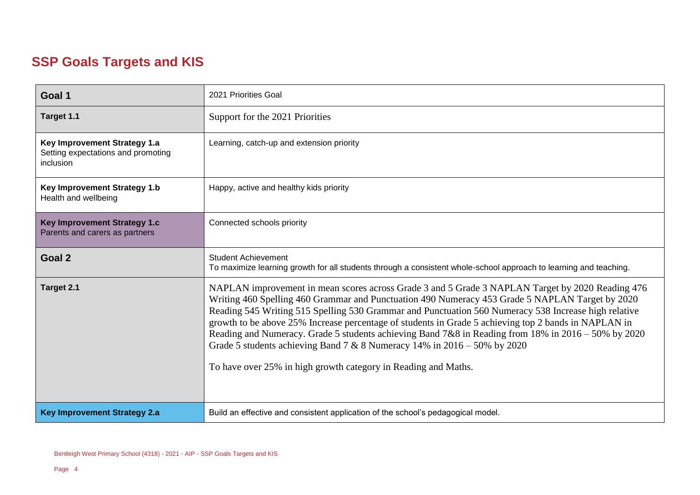### **SSP Goals Targets and KIS**

| Goal 1                                                                          | 2021 Priorities Goal                                                                                                                                                                                                                                                                                                                                                                                                                                                                                                                                                                                                                                                        |
|---------------------------------------------------------------------------------|-----------------------------------------------------------------------------------------------------------------------------------------------------------------------------------------------------------------------------------------------------------------------------------------------------------------------------------------------------------------------------------------------------------------------------------------------------------------------------------------------------------------------------------------------------------------------------------------------------------------------------------------------------------------------------|
| Target 1.1                                                                      | Support for the 2021 Priorities                                                                                                                                                                                                                                                                                                                                                                                                                                                                                                                                                                                                                                             |
| Key Improvement Strategy 1.a<br>Setting expectations and promoting<br>inclusion | Learning, catch-up and extension priority                                                                                                                                                                                                                                                                                                                                                                                                                                                                                                                                                                                                                                   |
| Key Improvement Strategy 1.b<br>Health and wellbeing                            | Happy, active and healthy kids priority                                                                                                                                                                                                                                                                                                                                                                                                                                                                                                                                                                                                                                     |
| <b>Key Improvement Strategy 1.c</b><br>Parents and carers as partners           | Connected schools priority                                                                                                                                                                                                                                                                                                                                                                                                                                                                                                                                                                                                                                                  |
| Goal 2                                                                          | <b>Student Achievement</b><br>To maximize learning growth for all students through a consistent whole-school approach to learning and teaching.                                                                                                                                                                                                                                                                                                                                                                                                                                                                                                                             |
| Target 2.1                                                                      | NAPLAN improvement in mean scores across Grade 3 and 5 Grade 3 NAPLAN Target by 2020 Reading 476<br>Writing 460 Spelling 460 Grammar and Punctuation 490 Numeracy 453 Grade 5 NAPLAN Target by 2020<br>Reading 545 Writing 515 Spelling 530 Grammar and Punctuation 560 Numeracy 538 Increase high relative<br>growth to be above 25% Increase percentage of students in Grade 5 achieving top 2 bands in NAPLAN in<br>Reading and Numeracy. Grade 5 students achieving Band 7&8 in Reading from 18% in 2016 – 50% by 2020<br>Grade 5 students achieving Band 7 & 8 Numeracy 14% in $2016 - 50\%$ by 2020<br>To have over 25% in high growth category in Reading and Maths. |
| <b>Key Improvement Strategy 2.a</b>                                             | Build an effective and consistent application of the school's pedagogical model.                                                                                                                                                                                                                                                                                                                                                                                                                                                                                                                                                                                            |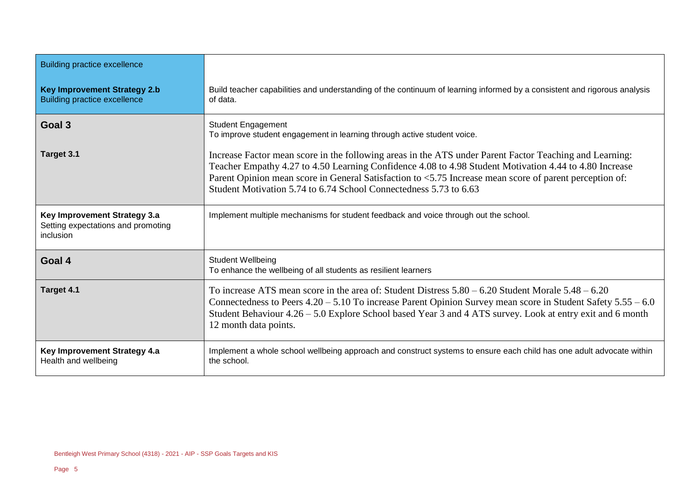| <b>Building practice excellence</b>                                             |                                                                                                                                                                                                                                                                                                                                                                                                   |
|---------------------------------------------------------------------------------|---------------------------------------------------------------------------------------------------------------------------------------------------------------------------------------------------------------------------------------------------------------------------------------------------------------------------------------------------------------------------------------------------|
| <b>Key Improvement Strategy 2.b</b><br><b>Building practice excellence</b>      | Build teacher capabilities and understanding of the continuum of learning informed by a consistent and rigorous analysis<br>of data.                                                                                                                                                                                                                                                              |
| Goal 3                                                                          | <b>Student Engagement</b><br>To improve student engagement in learning through active student voice.                                                                                                                                                                                                                                                                                              |
| Target 3.1                                                                      | Increase Factor mean score in the following areas in the ATS under Parent Factor Teaching and Learning:<br>Teacher Empathy 4.27 to 4.50 Learning Confidence 4.08 to 4.98 Student Motivation 4.44 to 4.80 Increase<br>Parent Opinion mean score in General Satisfaction to <5.75 Increase mean score of parent perception of:<br>Student Motivation 5.74 to 6.74 School Connectedness 5.73 to 6.63 |
| Key Improvement Strategy 3.a<br>Setting expectations and promoting<br>inclusion | Implement multiple mechanisms for student feedback and voice through out the school.                                                                                                                                                                                                                                                                                                              |
| Goal 4                                                                          | <b>Student Wellbeing</b><br>To enhance the wellbeing of all students as resilient learners                                                                                                                                                                                                                                                                                                        |
| Target 4.1                                                                      | To increase ATS mean score in the area of: Student Distress $5.80 - 6.20$ Student Morale $5.48 - 6.20$<br>Connectedness to Peers $4.20 - 5.10$ To increase Parent Opinion Survey mean score in Student Safety $5.55 - 6.0$<br>Student Behaviour 4.26 – 5.0 Explore School based Year 3 and 4 ATS survey. Look at entry exit and 6 month<br>12 month data points.                                  |
| Key Improvement Strategy 4.a<br>Health and wellbeing                            | Implement a whole school wellbeing approach and construct systems to ensure each child has one adult advocate within<br>the school.                                                                                                                                                                                                                                                               |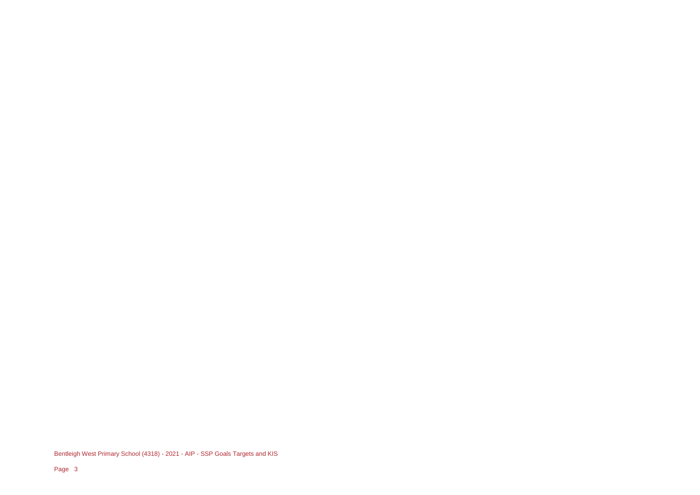Bentleigh West Primary School (4318) - 2021 - AIP - SSP Goals Targets and KIS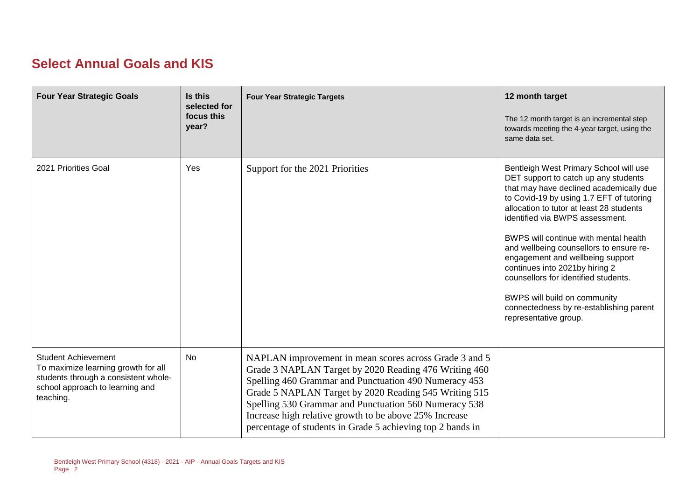#### **Select Annual Goals and KIS**

| <b>Four Year Strategic Goals</b>                                                                                                                          | Is this<br>selected for<br>focus this<br>year? | <b>Four Year Strategic Targets</b>                                                                                                                                                                                                                                                                                                                                                                                 | 12 month target<br>The 12 month target is an incremental step<br>towards meeting the 4-year target, using the<br>same data set.                                                                                                                                                                                                                                                                                                                                                                                                                            |
|-----------------------------------------------------------------------------------------------------------------------------------------------------------|------------------------------------------------|--------------------------------------------------------------------------------------------------------------------------------------------------------------------------------------------------------------------------------------------------------------------------------------------------------------------------------------------------------------------------------------------------------------------|------------------------------------------------------------------------------------------------------------------------------------------------------------------------------------------------------------------------------------------------------------------------------------------------------------------------------------------------------------------------------------------------------------------------------------------------------------------------------------------------------------------------------------------------------------|
| 2021 Priorities Goal                                                                                                                                      | Yes                                            | Support for the 2021 Priorities                                                                                                                                                                                                                                                                                                                                                                                    | Bentleigh West Primary School will use<br>DET support to catch up any students<br>that may have declined academically due<br>to Covid-19 by using 1.7 EFT of tutoring<br>allocation to tutor at least 28 students<br>identified via BWPS assessment.<br>BWPS will continue with mental health<br>and wellbeing counsellors to ensure re-<br>engagement and wellbeing support<br>continues into 2021by hiring 2<br>counsellors for identified students.<br>BWPS will build on community<br>connectedness by re-establishing parent<br>representative group. |
| <b>Student Achievement</b><br>To maximize learning growth for all<br>students through a consistent whole-<br>school approach to learning and<br>teaching. | <b>No</b>                                      | NAPLAN improvement in mean scores across Grade 3 and 5<br>Grade 3 NAPLAN Target by 2020 Reading 476 Writing 460<br>Spelling 460 Grammar and Punctuation 490 Numeracy 453<br>Grade 5 NAPLAN Target by 2020 Reading 545 Writing 515<br>Spelling 530 Grammar and Punctuation 560 Numeracy 538<br>Increase high relative growth to be above 25% Increase<br>percentage of students in Grade 5 achieving top 2 bands in |                                                                                                                                                                                                                                                                                                                                                                                                                                                                                                                                                            |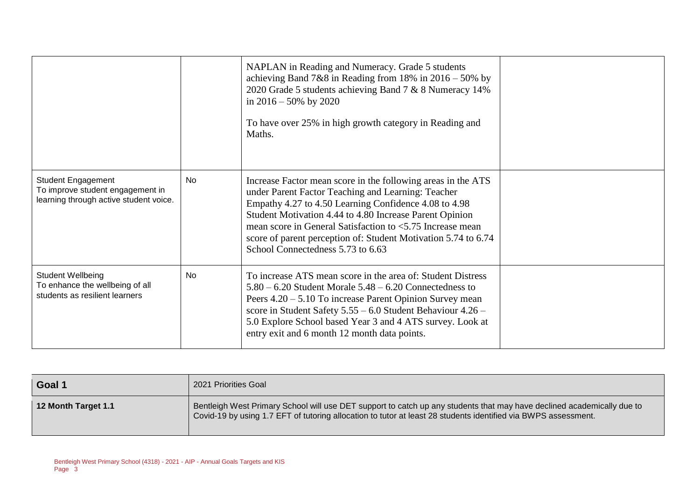|                                                                                                         |     | NAPLAN in Reading and Numeracy. Grade 5 students<br>achieving Band 7&8 in Reading from 18% in $2016 - 50\%$ by<br>2020 Grade 5 students achieving Band 7 & 8 Numeracy 14%<br>in $2016 - 50\%$ by 2020<br>To have over 25% in high growth category in Reading and<br>Maths.                                                                                                                                 |  |
|---------------------------------------------------------------------------------------------------------|-----|------------------------------------------------------------------------------------------------------------------------------------------------------------------------------------------------------------------------------------------------------------------------------------------------------------------------------------------------------------------------------------------------------------|--|
| <b>Student Engagement</b><br>To improve student engagement in<br>learning through active student voice. | No. | Increase Factor mean score in the following areas in the ATS<br>under Parent Factor Teaching and Learning: Teacher<br>Empathy 4.27 to 4.50 Learning Confidence 4.08 to 4.98<br>Student Motivation 4.44 to 4.80 Increase Parent Opinion<br>mean score in General Satisfaction to <5.75 Increase mean<br>score of parent perception of: Student Motivation 5.74 to 6.74<br>School Connectedness 5.73 to 6.63 |  |
| <b>Student Wellbeing</b><br>To enhance the wellbeing of all<br>students as resilient learners           | No. | To increase ATS mean score in the area of: Student Distress<br>$5.80 - 6.20$ Student Morale $5.48 - 6.20$ Connectedness to<br>Peers 4.20 – 5.10 To increase Parent Opinion Survey mean<br>score in Student Safety 5.55 - 6.0 Student Behaviour 4.26 -<br>5.0 Explore School based Year 3 and 4 ATS survey. Look at<br>entry exit and 6 month 12 month data points.                                         |  |

| Goal 1              | 2021 Priorities Goal                                                                                                                                                                                                                     |
|---------------------|------------------------------------------------------------------------------------------------------------------------------------------------------------------------------------------------------------------------------------------|
| 12 Month Target 1.1 | Bentleigh West Primary School will use DET support to catch up any students that may have declined academically due to<br>Covid-19 by using 1.7 EFT of tutoring allocation to tutor at least 28 students identified via BWPS assessment. |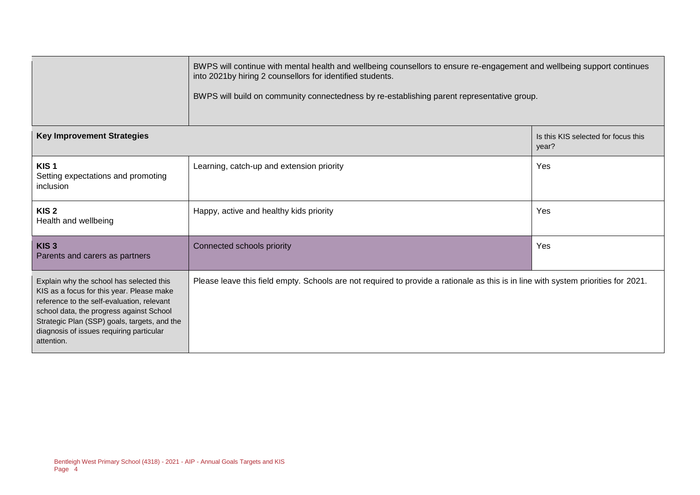|                                                                                                                                                                                                                                                                                           | BWPS will continue with mental health and wellbeing counsellors to ensure re-engagement and wellbeing support continues<br>into 2021by hiring 2 counsellors for identified students.<br>BWPS will build on community connectedness by re-establishing parent representative group. |                                              |
|-------------------------------------------------------------------------------------------------------------------------------------------------------------------------------------------------------------------------------------------------------------------------------------------|------------------------------------------------------------------------------------------------------------------------------------------------------------------------------------------------------------------------------------------------------------------------------------|----------------------------------------------|
| <b>Key Improvement Strategies</b>                                                                                                                                                                                                                                                         |                                                                                                                                                                                                                                                                                    | Is this KIS selected for focus this<br>year? |
| KIS <sub>1</sub><br>Setting expectations and promoting<br>inclusion                                                                                                                                                                                                                       | Learning, catch-up and extension priority                                                                                                                                                                                                                                          | Yes                                          |
| KIS <sub>2</sub><br>Health and wellbeing                                                                                                                                                                                                                                                  | Happy, active and healthy kids priority                                                                                                                                                                                                                                            | Yes                                          |
| KIS <sub>3</sub><br>Parents and carers as partners                                                                                                                                                                                                                                        | Connected schools priority                                                                                                                                                                                                                                                         | Yes                                          |
| Explain why the school has selected this<br>KIS as a focus for this year. Please make<br>reference to the self-evaluation, relevant<br>school data, the progress against School<br>Strategic Plan (SSP) goals, targets, and the<br>diagnosis of issues requiring particular<br>attention. | Please leave this field empty. Schools are not required to provide a rationale as this is in line with system priorities for 2021.                                                                                                                                                 |                                              |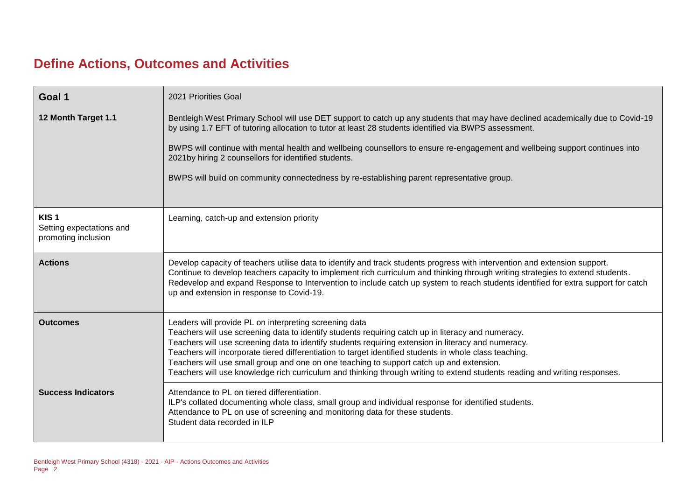#### **Define Actions, Outcomes and Activities**

| Goal 1                                                              | 2021 Priorities Goal                                                                                                                                                                                                                                                                                                                                                                                                                                                                                                                                                                                     |
|---------------------------------------------------------------------|----------------------------------------------------------------------------------------------------------------------------------------------------------------------------------------------------------------------------------------------------------------------------------------------------------------------------------------------------------------------------------------------------------------------------------------------------------------------------------------------------------------------------------------------------------------------------------------------------------|
| 12 Month Target 1.1                                                 | Bentleigh West Primary School will use DET support to catch up any students that may have declined academically due to Covid-19<br>by using 1.7 EFT of tutoring allocation to tutor at least 28 students identified via BWPS assessment.<br>BWPS will continue with mental health and wellbeing counsellors to ensure re-engagement and wellbeing support continues into<br>2021by hiring 2 counsellors for identified students.<br>BWPS will build on community connectedness by re-establishing parent representative group.                                                                           |
| KIS <sub>1</sub><br>Setting expectations and<br>promoting inclusion | Learning, catch-up and extension priority                                                                                                                                                                                                                                                                                                                                                                                                                                                                                                                                                                |
| <b>Actions</b>                                                      | Develop capacity of teachers utilise data to identify and track students progress with intervention and extension support.<br>Continue to develop teachers capacity to implement rich curriculum and thinking through writing strategies to extend students.<br>Redevelop and expand Response to Intervention to include catch up system to reach students identified for extra support for catch<br>up and extension in response to Covid-19.                                                                                                                                                           |
| <b>Outcomes</b>                                                     | Leaders will provide PL on interpreting screening data<br>Teachers will use screening data to identify students requiring catch up in literacy and numeracy.<br>Teachers will use screening data to identify students requiring extension in literacy and numeracy.<br>Teachers will incorporate tiered differentiation to target identified students in whole class teaching.<br>Teachers will use small group and one on one teaching to support catch up and extension.<br>Teachers will use knowledge rich curriculum and thinking through writing to extend students reading and writing responses. |
| <b>Success Indicators</b>                                           | Attendance to PL on tiered differentiation.<br>ILP's collated documenting whole class, small group and individual response for identified students.<br>Attendance to PL on use of screening and monitoring data for these students.<br>Student data recorded in ILP                                                                                                                                                                                                                                                                                                                                      |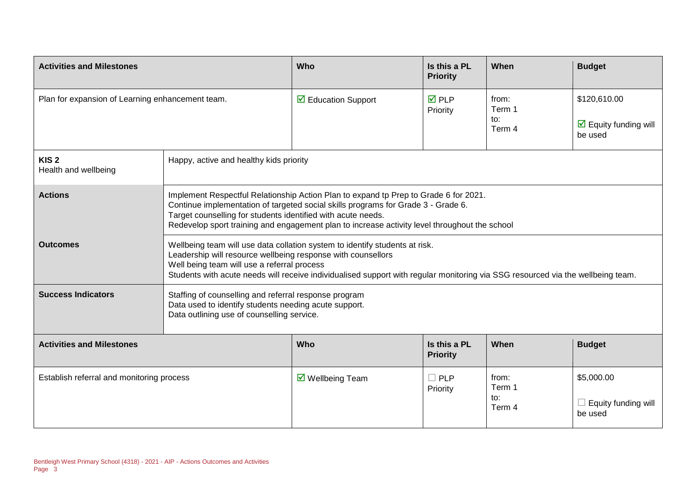| <b>Activities and Milestones</b>                 |                                                                                                                                                                                                                                                                                                                                            | Who                                | Is this a PL<br><b>Priority</b> | When                             | <b>Budget</b>                                            |  |
|--------------------------------------------------|--------------------------------------------------------------------------------------------------------------------------------------------------------------------------------------------------------------------------------------------------------------------------------------------------------------------------------------------|------------------------------------|---------------------------------|----------------------------------|----------------------------------------------------------|--|
| Plan for expansion of Learning enhancement team. |                                                                                                                                                                                                                                                                                                                                            | $\triangleright$ Education Support | $\overline{M}$ PLP<br>Priority  | from:<br>Term 1<br>to:<br>Term 4 | \$120,610.00<br>$\boxdot$ Equity funding will<br>be used |  |
| KIS <sub>2</sub><br>Health and wellbeing         | Happy, active and healthy kids priority                                                                                                                                                                                                                                                                                                    |                                    |                                 |                                  |                                                          |  |
| <b>Actions</b>                                   | Implement Respectful Relationship Action Plan to expand tp Prep to Grade 6 for 2021.<br>Continue implementation of targeted social skills programs for Grade 3 - Grade 6.<br>Target counselling for students identified with acute needs.<br>Redevelop sport training and engagement plan to increase activity level throughout the school |                                    |                                 |                                  |                                                          |  |
| <b>Outcomes</b>                                  | Wellbeing team will use data collation system to identify students at risk.<br>Leadership will resource wellbeing response with counsellors<br>Well being team will use a referral process<br>Students with acute needs will receive individualised support with regular monitoring via SSG resourced via the wellbeing team.              |                                    |                                 |                                  |                                                          |  |
| <b>Success Indicators</b>                        | Staffing of counselling and referral response program<br>Data used to identify students needing acute support.<br>Data outlining use of counselling service.                                                                                                                                                                               |                                    |                                 |                                  |                                                          |  |
| <b>Activities and Milestones</b>                 |                                                                                                                                                                                                                                                                                                                                            | Who                                | Is this a PL<br><b>Priority</b> | When                             | <b>Budget</b>                                            |  |
| Establish referral and monitoring process        |                                                                                                                                                                                                                                                                                                                                            | $\triangledown$ Wellbeing Team     | $\square$ PLP<br>Priority       | from:<br>Term 1<br>to:<br>Term 4 | \$5,000.00<br>Equity funding will<br>be used             |  |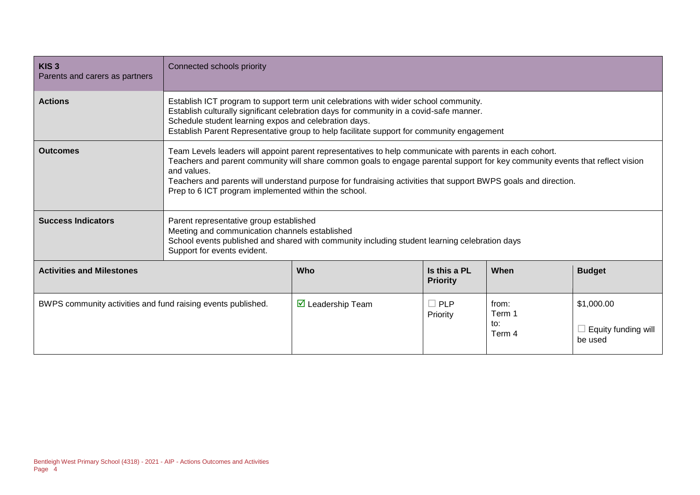| KIS <sub>3</sub><br>Parents and carers as partners           | Connected schools priority                                                                                                                                                                                                                                                                                                                                                                                                         |                                  |                                 |                                  |                                              |  |
|--------------------------------------------------------------|------------------------------------------------------------------------------------------------------------------------------------------------------------------------------------------------------------------------------------------------------------------------------------------------------------------------------------------------------------------------------------------------------------------------------------|----------------------------------|---------------------------------|----------------------------------|----------------------------------------------|--|
| <b>Actions</b>                                               | Establish ICT program to support term unit celebrations with wider school community.<br>Establish culturally significant celebration days for community in a covid-safe manner.<br>Schedule student learning expos and celebration days.<br>Establish Parent Representative group to help facilitate support for community engagement                                                                                              |                                  |                                 |                                  |                                              |  |
| <b>Outcomes</b>                                              | Team Levels leaders will appoint parent representatives to help communicate with parents in each cohort.<br>Teachers and parent community will share common goals to engage parental support for key community events that reflect vision<br>and values.<br>Teachers and parents will understand purpose for fundraising activities that support BWPS goals and direction.<br>Prep to 6 ICT program implemented within the school. |                                  |                                 |                                  |                                              |  |
| <b>Success Indicators</b>                                    | Parent representative group established<br>Meeting and communication channels established<br>School events published and shared with community including student learning celebration days<br>Support for events evident.                                                                                                                                                                                                          |                                  |                                 |                                  |                                              |  |
| <b>Activities and Milestones</b>                             |                                                                                                                                                                                                                                                                                                                                                                                                                                    | Who                              | Is this a PL<br><b>Priority</b> | When                             | <b>Budget</b>                                |  |
| BWPS community activities and fund raising events published. |                                                                                                                                                                                                                                                                                                                                                                                                                                    | $\triangleright$ Leadership Team | $\Box$ PLP<br>Priority          | from:<br>Term 1<br>to:<br>Term 4 | \$1,000.00<br>Equity funding will<br>be used |  |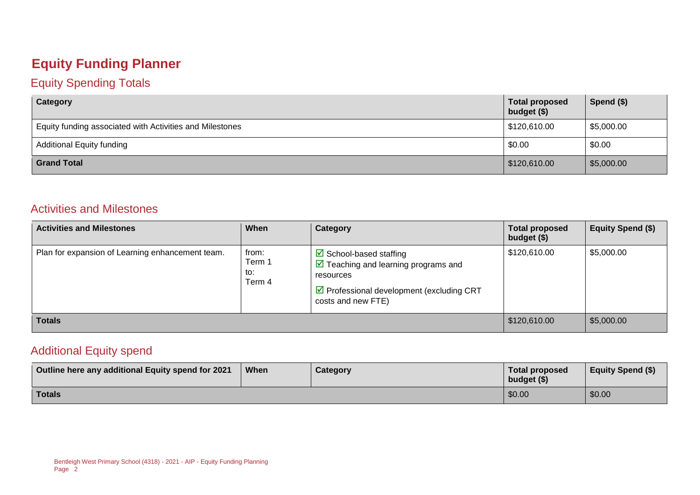#### **Equity Funding Planner**

#### Equity Spending Totals

| Category                                                                 | <b>Total proposed</b><br>budget (\$) | Spend $(\$)$ |
|--------------------------------------------------------------------------|--------------------------------------|--------------|
| \$120,610.00<br>Equity funding associated with Activities and Milestones |                                      | \$5,000.00   |
| <b>Additional Equity funding</b>                                         |                                      | \$0.00       |
| <b>Grand Total</b>                                                       | \$120,610.00                         | \$5,000.00   |

#### Activities and Milestones

| <b>Activities and Milestones</b>                 | When                             | Category                                                                                                                                                                     | <b>Total proposed</b><br>budget (\$) | <b>Equity Spend (\$)</b> |
|--------------------------------------------------|----------------------------------|------------------------------------------------------------------------------------------------------------------------------------------------------------------------------|--------------------------------------|--------------------------|
| Plan for expansion of Learning enhancement team. | from:<br>Term 1<br>to:<br>Term 4 | $\triangleright$ School-based staffing<br>$\triangledown$ Teaching and learning programs and<br>resources<br>☑ Professional development (excluding CRT<br>costs and new FTE) | \$120,610.00                         | \$5,000.00               |
| <b>Totals</b>                                    |                                  |                                                                                                                                                                              | \$120,610.00                         | \$5,000.00               |

#### Additional Equity spend

| Outline here any additional Equity spend for 2021 | When | Category | <b>Total proposed</b><br>budget (\$) | <b>Equity Spend (\$)</b> |
|---------------------------------------------------|------|----------|--------------------------------------|--------------------------|
| <b>Totals</b>                                     |      |          | \$0.00                               | \$0.00                   |